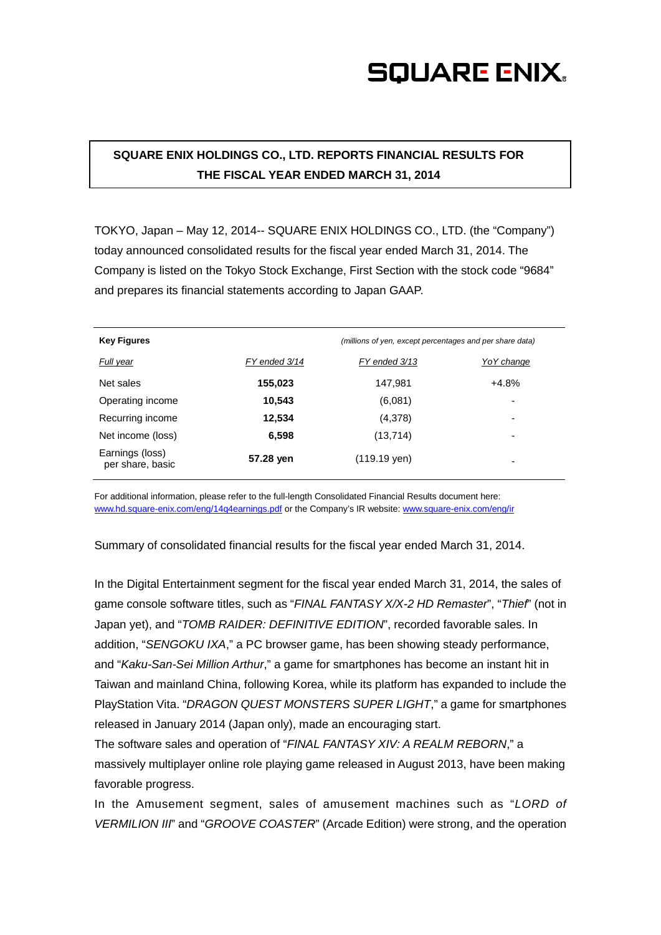# **SQUARE ENIX.**

### **SQUARE ENIX HOLDINGS CO., LTD. REPORTS FINANCIAL RESULTS FOR THE FISCAL YEAR ENDED MARCH 31, 2014**

TOKYO, Japan – May 12, 2014-- SQUARE ENIX HOLDINGS CO., LTD. (the "Company") today announced consolidated results for the fiscal year ended March 31, 2014. The Company is listed on the Tokyo Stock Exchange, First Section with the stock code "9684" and prepares its financial statements according to Japan GAAP.

| <b>Key Figures</b>                  |               | (millions of yen, except percentages and per share data) |                          |
|-------------------------------------|---------------|----------------------------------------------------------|--------------------------|
| Full year                           | FY ended 3/14 | FY ended 3/13                                            | Yo Y change              |
| Net sales                           | 155,023       | 147,981                                                  | $+4.8%$                  |
| Operating income                    | 10.543        | (6,081)                                                  | -                        |
| Recurring income                    | 12,534        | (4,378)                                                  | $\overline{\phantom{0}}$ |
| Net income (loss)                   | 6,598         | (13, 714)                                                | -                        |
| Earnings (loss)<br>per share, basic | 57.28 yen     | (119.19 yen)                                             | ۰                        |

For additional information, please refer to the full-length Consolidated Financial Results document here: [www.hd.square-enix.com/eng/14q4earnings.pdf](http://www.hd.square-enix.com/eng/14q4earnings.pdf) or the Company's IR website: [www.square-enix.com/eng/ir](http://www.square-enix.com/eng/ir)

Summary of consolidated financial results for the fiscal year ended March 31, 2014.

In the Digital Entertainment segment for the fiscal year ended March 31, 2014, the sales of game console software titles, such as "*FINAL FANTASY X/X-2 HD Remaster*", "*Thief*" (not in Japan yet), and "*TOMB RAIDER: DEFINITIVE EDITION*", recorded favorable sales. In addition, "*SENGOKU IXA*," a PC browser game, has been showing steady performance, and "*Kaku-San-Sei Million Arthur*," a game for smartphones has become an instant hit in Taiwan and mainland China, following Korea, while its platform has expanded to include the PlayStation Vita. "*DRAGON QUEST MONSTERS SUPER LIGHT*," a game for smartphones released in January 2014 (Japan only), made an encouraging start.

The software sales and operation of "*FINAL FANTASY XIV: A REALM REBORN*," a massively multiplayer online role playing game released in August 2013, have been making favorable progress.

In the Amusement segment, sales of amusement machines such as "*LORD of VERMILION III*" and "*GROOVE COASTER*" (Arcade Edition) were strong, and the operation